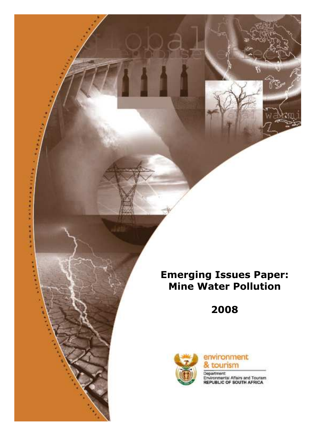# Emerging Issues Paper: Mine Water Pollution

2008



世 井 井



Department: Departmental Affairs and Tourism<br>REPUBLIC OF SOUTH AFRICA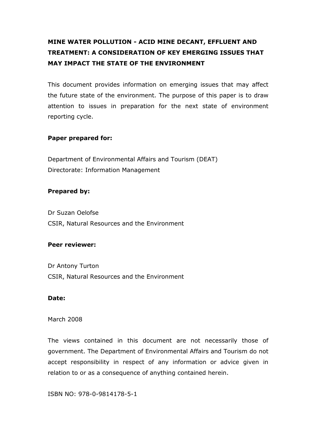## MINE WATER POLLUTION - ACID MINE DECANT, EFFLUENT AND TREATMENT: A CONSIDERATION OF KEY EMERGING ISSUES THAT MAY IMPACT THE STATE OF THE ENVIRONMENT

This document provides information on emerging issues that may affect the future state of the environment. The purpose of this paper is to draw attention to issues in preparation for the next state of environment reporting cycle.

#### Paper prepared for:

Department of Environmental Affairs and Tourism (DEAT) Directorate: Information Management

#### Prepared by:

Dr Suzan Oelofse CSIR, Natural Resources and the Environment

#### Peer reviewer:

Dr Antony Turton CSIR, Natural Resources and the Environment

#### Date:

#### March 2008

The views contained in this document are not necessarily those of government. The Department of Environmental Affairs and Tourism do not accept responsibility in respect of any information or advice given in relation to or as a consequence of anything contained herein.

ISBN NO: 978-0-9814178-5-1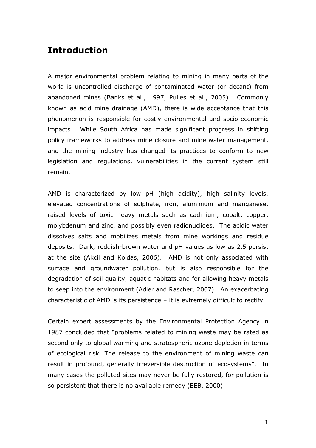## Introduction

A major environmental problem relating to mining in many parts of the world is uncontrolled discharge of contaminated water (or decant) from abandoned mines (Banks et al., 1997, Pulles et al., 2005). Commonly known as acid mine drainage (AMD), there is wide acceptance that this phenomenon is responsible for costly environmental and socio-economic impacts. While South Africa has made significant progress in shifting policy frameworks to address mine closure and mine water management, and the mining industry has changed its practices to conform to new legislation and regulations, vulnerabilities in the current system still remain.

AMD is characterized by low pH (high acidity), high salinity levels, elevated concentrations of sulphate, iron, aluminium and manganese, raised levels of toxic heavy metals such as cadmium, cobalt, copper, molybdenum and zinc, and possibly even radionuclides. The acidic water dissolves salts and mobilizes metals from mine workings and residue deposits. Dark, reddish-brown water and pH values as low as 2.5 persist at the site (Akcil and Koldas, 2006). AMD is not only associated with surface and groundwater pollution, but is also responsible for the degradation of soil quality, aquatic habitats and for allowing heavy metals to seep into the environment (Adler and Rascher, 2007). An exacerbating characteristic of AMD is its persistence – it is extremely difficult to rectify.

Certain expert assessments by the Environmental Protection Agency in 1987 concluded that "problems related to mining waste may be rated as second only to global warming and stratospheric ozone depletion in terms of ecological risk. The release to the environment of mining waste can result in profound, generally irreversible destruction of ecosystems". In many cases the polluted sites may never be fully restored, for pollution is so persistent that there is no available remedy (EEB, 2000).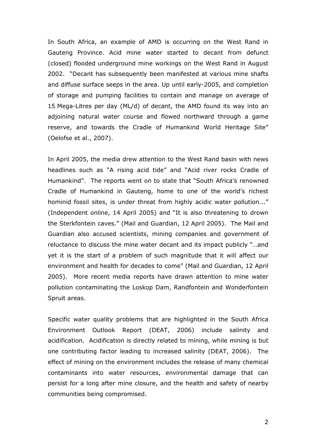In South Africa, an example of AMD is occurring on the West Rand in Gauteng Province. Acid mine water started to decant from defunct (closed) flooded underground mine workings on the West Rand in August 2002. "Decant has subsequently been manifested at various mine shafts and diffuse surface seeps in the area. Up until early-2005, and completion of storage and pumping facilities to contain and manage on average of 15 Mega-Litres per day (ML/d) of decant, the AMD found its way into an adjoining natural water course and flowed northward through a game reserve, and towards the Cradle of Humankind World Heritage Site" (Oelofse et al., 2007).

In April 2005, the media drew attention to the West Rand basin with news headlines such as "A rising acid tide" and "Acid river rocks Cradle of Humankind". The reports went on to state that "South Africa's renowned Cradle of Humankind in Gauteng, home to one of the world's richest hominid fossil sites, is under threat from highly acidic water pollution..." (Independent online, 14 April 2005) and "It is also threatening to drown the Sterkfontein caves." (Mail and Guardian, 12 April 2005). The Mail and Guardian also accused scientists, mining companies and government of reluctance to discuss the mine water decant and its impact publicly "…and yet it is the start of a problem of such magnitude that it will affect our environment and health for decades to come" (Mail and Guardian, 12 April 2005). More recent media reports have drawn attention to mine water pollution contaminating the Loskop Dam, Randfontein and Wonderfontein Spruit areas.

Specific water quality problems that are highlighted in the South Africa Environment Outlook Report (DEAT, 2006) include salinity and acidification. Acidification is directly related to mining, while mining is but one contributing factor leading to increased salinity (DEAT, 2006). The effect of mining on the environment includes the release of many chemical contaminants into water resources, environmental damage that can persist for a long after mine closure, and the health and safety of nearby communities being compromised.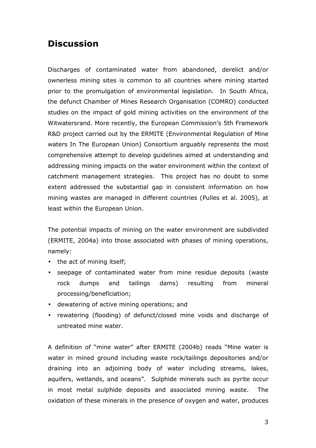## **Discussion**

Discharges of contaminated water from abandoned, derelict and/or ownerless mining sites is common to all countries where mining started prior to the promulgation of environmental legislation. In South Africa, the defunct Chamber of Mines Research Organisation (COMRO) conducted studies on the impact of gold mining activities on the environment of the Witwatersrand. More recently, the European Commission's 5th Framework R&D project carried out by the ERMITE (Environmental Regulation of Mine waters In The European Union) Consortium arguably represents the most comprehensive attempt to develop guidelines aimed at understanding and addressing mining impacts on the water environment within the context of catchment management strategies. This project has no doubt to some extent addressed the substantial gap in consistent information on how mining wastes are managed in different countries (Pulles et al. 2005), at least within the European Union.

The potential impacts of mining on the water environment are subdivided (ERMITE, 2004a) into those associated with phases of mining operations, namely:

- the act of mining itself;
- seepage of contaminated water from mine residue deposits (waste rock dumps and tailings dams) resulting from mineral processing/beneficiation;
- dewatering of active mining operations; and
- rewatering (flooding) of defunct/closed mine voids and discharge of untreated mine water.

A definition of "mine water" after ERMITE (2004b) reads "Mine water is water in mined ground including waste rock/tailings depositories and/or draining into an adjoining body of water including streams, lakes, aquifers, wetlands, and oceans". Sulphide minerals such as pyrite occur in most metal sulphide deposits and associated mining waste. The oxidation of these minerals in the presence of oxygen and water, produces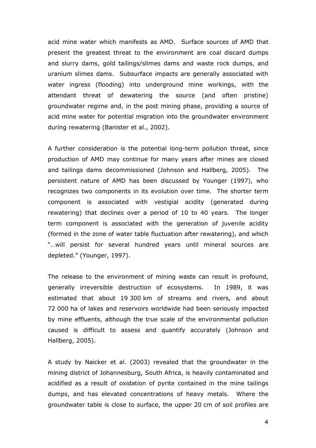acid mine water which manifests as AMD. Surface sources of AMD that present the greatest threat to the environment are coal discard dumps and slurry dams, gold tailings/slimes dams and waste rock dumps, and uranium slimes dams. Subsurface impacts are generally associated with water ingress (flooding) into underground mine workings, with the attendant threat of dewatering the source (and often pristine) groundwater regime and, in the post mining phase, providing a source of acid mine water for potential migration into the groundwater environment during rewatering (Banister et al., 2002).

A further consideration is the potential long-term pollution threat, since production of AMD may continue for many years after mines are closed and tailings dams decommissioned (Johnson and Hallberg, 2005). The persistent nature of AMD has been discussed by Younger (1997), who recognizes two components in its evolution over time. The shorter term component is associated with vestigial acidity (generated during rewatering) that declines over a period of 10 to 40 years. The longer term component is associated with the generation of juvenile acidity (formed in the zone of water table fluctuation after rewatering), and which "…will persist for several hundred years until mineral sources are depleted." (Younger, 1997).

The release to the environment of mining waste can result in profound, generally irreversible destruction of ecosystems. In 1989, it was estimated that about 19 300 km of streams and rivers, and about 72 000 ha of lakes and reservoirs worldwide had been seriously impacted by mine effluents, although the true scale of the environmental pollution caused is difficult to assess and quantify accurately (Johnson and Hallberg, 2005).

A study by Naicker et al. (2003) revealed that the groundwater in the mining district of Johannesburg, South Africa, is heavily contaminated and acidified as a result of oxidation of pyrite contained in the mine tailings dumps, and has elevated concentrations of heavy metals. Where the groundwater table is close to surface, the upper 20 cm of soil profiles are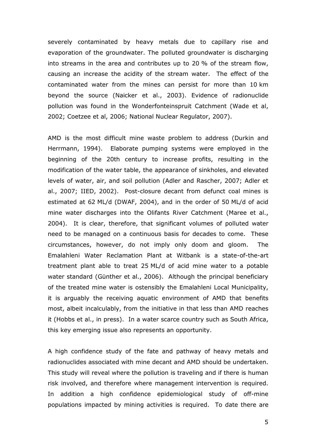severely contaminated by heavy metals due to capillary rise and evaporation of the groundwater. The polluted groundwater is discharging into streams in the area and contributes up to 20 % of the stream flow, causing an increase the acidity of the stream water. The effect of the contaminated water from the mines can persist for more than 10 km beyond the source (Naicker et al., 2003). Evidence of radionuclide pollution was found in the Wonderfonteinspruit Catchment (Wade et al, 2002; Coetzee et al, 2006; National Nuclear Regulator, 2007).

AMD is the most difficult mine waste problem to address (Durkin and Herrmann, 1994). Elaborate pumping systems were employed in the beginning of the 20th century to increase profits, resulting in the modification of the water table, the appearance of sinkholes, and elevated levels of water, air, and soil pollution (Adler and Rascher, 2007; Adler et al., 2007; IIED, 2002). Post-closure decant from defunct coal mines is estimated at 62 ML/d (DWAF, 2004), and in the order of 50 ML/d of acid mine water discharges into the Olifants River Catchment (Maree et al., 2004). It is clear, therefore, that significant volumes of polluted water need to be managed on a continuous basis for decades to come. These circumstances, however, do not imply only doom and gloom. The Emalahleni Water Reclamation Plant at Witbank is a state-of-the-art treatment plant able to treat 25 ML/d of acid mine water to a potable water standard (Günther et al., 2006). Although the principal beneficiary of the treated mine water is ostensibly the Emalahleni Local Municipality, it is arguably the receiving aquatic environment of AMD that benefits most, albeit incalculably, from the initiative in that less than AMD reaches it (Hobbs et al., in press). In a water scarce country such as South Africa, this key emerging issue also represents an opportunity.

A high confidence study of the fate and pathway of heavy metals and radionuclides associated with mine decant and AMD should be undertaken. This study will reveal where the pollution is traveling and if there is human risk involved, and therefore where management intervention is required. In addition a high confidence epidemiological study of off-mine populations impacted by mining activities is required. To date there are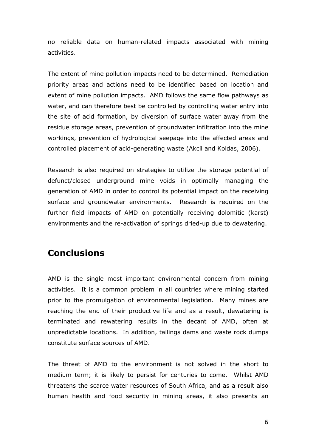no reliable data on human-related impacts associated with mining activities.

The extent of mine pollution impacts need to be determined. Remediation priority areas and actions need to be identified based on location and extent of mine pollution impacts. AMD follows the same flow pathways as water, and can therefore best be controlled by controlling water entry into the site of acid formation, by diversion of surface water away from the residue storage areas, prevention of groundwater infiltration into the mine workings, prevention of hydrological seepage into the affected areas and controlled placement of acid-generating waste (Akcil and Koldas, 2006).

Research is also required on strategies to utilize the storage potential of defunct/closed underground mine voids in optimally managing the generation of AMD in order to control its potential impact on the receiving surface and groundwater environments. Research is required on the further field impacts of AMD on potentially receiving dolomitic (karst) environments and the re-activation of springs dried-up due to dewatering.

### **Conclusions**

AMD is the single most important environmental concern from mining activities. It is a common problem in all countries where mining started prior to the promulgation of environmental legislation. Many mines are reaching the end of their productive life and as a result, dewatering is terminated and rewatering results in the decant of AMD, often at unpredictable locations. In addition, tailings dams and waste rock dumps constitute surface sources of AMD.

The threat of AMD to the environment is not solved in the short to medium term; it is likely to persist for centuries to come. Whilst AMD threatens the scarce water resources of South Africa, and as a result also human health and food security in mining areas, it also presents an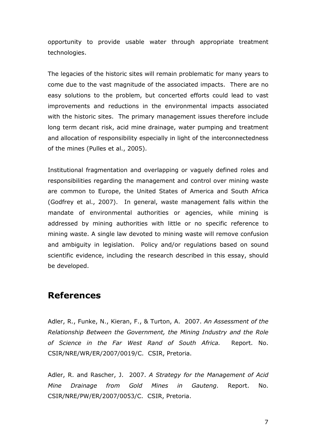opportunity to provide usable water through appropriate treatment technologies.

The legacies of the historic sites will remain problematic for many years to come due to the vast magnitude of the associated impacts. There are no easy solutions to the problem, but concerted efforts could lead to vast improvements and reductions in the environmental impacts associated with the historic sites. The primary management issues therefore include long term decant risk, acid mine drainage, water pumping and treatment and allocation of responsibility especially in light of the interconnectedness of the mines (Pulles et al., 2005).

Institutional fragmentation and overlapping or vaguely defined roles and responsibilities regarding the management and control over mining waste are common to Europe, the United States of America and South Africa (Godfrey et al., 2007). In general, waste management falls within the mandate of environmental authorities or agencies, while mining is addressed by mining authorities with little or no specific reference to mining waste. A single law devoted to mining waste will remove confusion and ambiguity in legislation. Policy and/or regulations based on sound scientific evidence, including the research described in this essay, should be developed.

## References

Adler, R., Funke, N., Kieran, F., & Turton, A. 2007. An Assessment of the Relationship Between the Government, the Mining Industry and the Role of Science in the Far West Rand of South Africa. Report. No. CSIR/NRE/WR/ER/2007/0019/C. CSIR, Pretoria.

Adler, R. and Rascher, J. 2007. A Strategy for the Management of Acid Mine Drainage from Gold Mines in Gauteng. Report. No. CSIR/NRE/PW/ER/2007/0053/C. CSIR, Pretoria.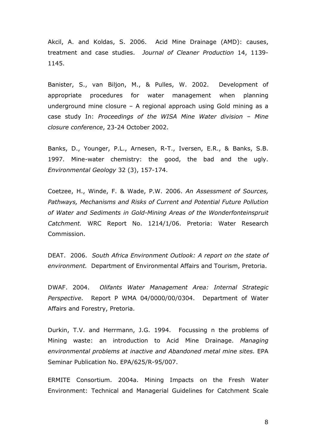Akcil, A. and Koldas, S. 2006. Acid Mine Drainage (AMD): causes, treatment and case studies. Journal of Cleaner Production 14, 1139- 1145.

Banister, S., van Biljon, M., & Pulles, W. 2002. Development of appropriate procedures for water management when planning underground mine closure – A regional approach using Gold mining as a case study In: Proceedings of the WISA Mine Water division – Mine closure conference, 23-24 October 2002.

Banks, D., Younger, P.L., Arnesen, R-T., Iversen, E.R., & Banks, S.B. 1997. Mine-water chemistry: the good, the bad and the ugly. Environmental Geology 32 (3), 157-174.

Coetzee, H., Winde, F. & Wade, P.W. 2006. An Assessment of Sources, Pathways, Mechanisms and Risks of Current and Potential Future Pollution of Water and Sediments in Gold-Mining Areas of the Wonderfonteinspruit Catchment. WRC Report No. 1214/1/06. Pretoria: Water Research Commission.

DEAT. 2006. South Africa Environment Outlook: A report on the state of environment. Department of Environmental Affairs and Tourism, Pretoria.

DWAF. 2004. Olifants Water Management Area: Internal Strategic Perspective. Report P WMA 04/0000/00/0304. Department of Water Affairs and Forestry, Pretoria.

Durkin, T.V. and Herrmann, J.G. 1994. Focussing n the problems of Mining waste: an introduction to Acid Mine Drainage. Managing environmental problems at inactive and Abandoned metal mine sites. EPA Seminar Publication No. EPA/625/R-95/007.

ERMITE Consortium. 2004a. Mining Impacts on the Fresh Water Environment: Technical and Managerial Guidelines for Catchment Scale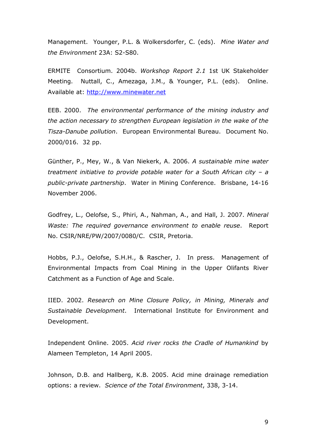Management. Younger, P.L. & Wolkersdorfer, C. (eds). Mine Water and the Environment 23A: S2-S80.

ERMITE Consortium. 2004b. Workshop Report 2.1 1st UK Stakeholder Meeting. Nuttall, C., Amezaga, J.M., & Younger, P.L. (eds). Online. Available at: http://www.minewater.net

EEB. 2000. The environmental performance of the mining industry and the action necessary to strengthen European legislation in the wake of the Tisza-Danube pollution. European Environmental Bureau. Document No. 2000/016. 32 pp.

Günther, P., Mey, W., & Van Niekerk, A. 2006. A sustainable mine water treatment initiative to provide potable water for a South African city – a public-private partnership. Water in Mining Conference. Brisbane, 14-16 November 2006.

Godfrey, L., Oelofse, S., Phiri, A., Nahman, A., and Hall, J. 2007. Mineral Waste: The required governance environment to enable reuse. Report No. CSIR/NRE/PW/2007/0080/C. CSIR, Pretoria.

Hobbs, P.J., Oelofse, S.H.H., & Rascher, J. In press. Management of Environmental Impacts from Coal Mining in the Upper Olifants River Catchment as a Function of Age and Scale.

IIED. 2002. Research on Mine Closure Policy, in Mining, Minerals and Sustainable Development. International Institute for Environment and Development.

Independent Online. 2005. Acid river rocks the Cradle of Humankind by Alameen Templeton, 14 April 2005.

Johnson, D.B. and Hallberg, K.B. 2005. Acid mine drainage remediation options: a review. Science of the Total Environment, 338, 3-14.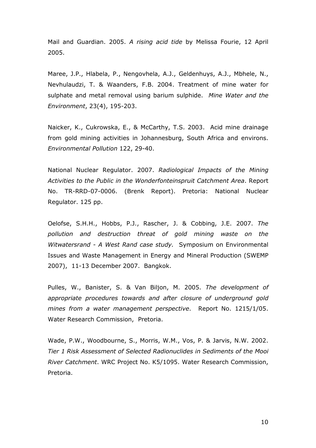Mail and Guardian. 2005. A rising acid tide by Melissa Fourie, 12 April 2005.

Maree, J.P., Hlabela, P., Nengovhela, A.J., Geldenhuys, A.J., Mbhele, N., Nevhulaudzi, T. & Waanders, F.B. 2004. Treatment of mine water for sulphate and metal removal using barium sulphide. Mine Water and the Environment, 23(4), 195-203.

Naicker, K., Cukrowska, E., & McCarthy, T.S. 2003. Acid mine drainage from gold mining activities in Johannesburg, South Africa and environs. Environmental Pollution 122, 29-40.

National Nuclear Regulator. 2007. Radiological Impacts of the Mining Activities to the Public in the Wonderfonteinspruit Catchment Area. Report No. TR-RRD-07-0006. (Brenk Report). Pretoria: National Nuclear Regulator. 125 pp.

Oelofse, S.H.H., Hobbs, P.J., Rascher, J. & Cobbing, J.E. 2007. The pollution and destruction threat of gold mining waste on the Witwatersrand - A West Rand case study. Symposium on Environmental Issues and Waste Management in Energy and Mineral Production (SWEMP 2007), 11-13 December 2007. Bangkok.

Pulles, W., Banister, S. & Van Biljon, M. 2005. The development of appropriate procedures towards and after closure of underground gold mines from a water management perspective. Report No. 1215/1/05. Water Research Commission, Pretoria.

Wade, P.W., Woodbourne, S., Morris, W.M., Vos, P. & Jarvis, N.W. 2002. Tier 1 Risk Assessment of Selected Radionuclides in Sediments of the Mooi River Catchment. WRC Project No. K5/1095. Water Research Commission, Pretoria.